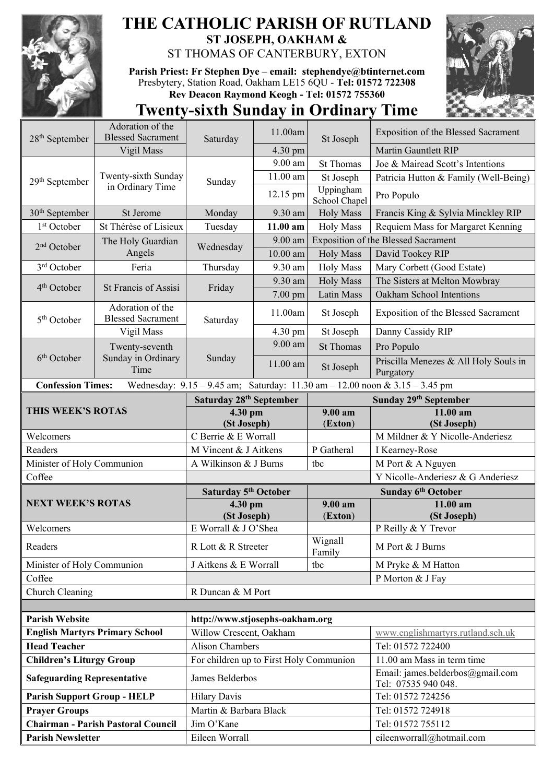

## **THE CATHOLIC PARISH OF RUTLAND ST JOSEPH, OAKHAM &**  ST THOMAS OF CANTERBURY, EXTON

**Parish Priest: Fr Stephen Dye** – **[email: stephendye@btinternet.com](mailto:email:%20%20stephendye@btinternet.com)** Presbytery, Station Road, Oakham LE15 6QU - **Tel: 01572 722308 Rev Deacon Raymond Keogh - Tel: 01572 755360**



## **Twenty-sixth Sunday in Ordinary Time**

| $28th$ September                                                                                        | Adoration of the<br><b>Blessed Sacrament</b> |                                         | 11.00am   |                               | Exposition of the Blessed Sacrament                     |  |  |  |
|---------------------------------------------------------------------------------------------------------|----------------------------------------------|-----------------------------------------|-----------|-------------------------------|---------------------------------------------------------|--|--|--|
|                                                                                                         | Vigil Mass                                   | Saturday                                | 4.30 pm   | St Joseph<br><b>St Thomas</b> | <b>Martin Gauntlett RIP</b>                             |  |  |  |
|                                                                                                         |                                              |                                         | 9.00 am   |                               | Joe & Mairead Scott's Intentions                        |  |  |  |
| $29th$ September                                                                                        | Twenty-sixth Sunday<br>in Ordinary Time      | Sunday                                  | 11.00 am  | St Joseph                     | Patricia Hutton & Family (Well-Being)                   |  |  |  |
|                                                                                                         |                                              |                                         |           | Uppingham                     |                                                         |  |  |  |
|                                                                                                         |                                              |                                         | 12.15 pm  | School Chapel                 | Pro Populo                                              |  |  |  |
| 30 <sup>th</sup> September                                                                              | St Jerome                                    | Monday                                  | 9.30 am   | <b>Holy Mass</b>              | Francis King & Sylvia Minckley RIP                      |  |  |  |
| 1 <sup>st</sup> October                                                                                 | St Thérèse of Lisieux                        | Tuesday                                 | 11.00 am  | <b>Holy Mass</b>              | Requiem Mass for Margaret Kenning                       |  |  |  |
| $2nd$ October                                                                                           | The Holy Guardian<br>Angels                  | Wednesday                               | 9.00 am   |                               | <b>Exposition of the Blessed Sacrament</b>              |  |  |  |
|                                                                                                         |                                              |                                         | 10.00 am  | <b>Holy Mass</b>              | David Tookey RIP                                        |  |  |  |
| 3rd October                                                                                             | Feria                                        | Thursday                                | 9.30 am   | <b>Holy Mass</b>              | Mary Corbett (Good Estate)                              |  |  |  |
| 4 <sup>th</sup> October                                                                                 | St Francis of Assisi                         | Friday                                  | 9.30 am   | <b>Holy Mass</b>              | The Sisters at Melton Mowbray                           |  |  |  |
|                                                                                                         |                                              |                                         | 7.00 pm   | Latin Mass                    | Oakham School Intentions                                |  |  |  |
| 5 <sup>th</sup> October                                                                                 | Adoration of the<br><b>Blessed Sacrament</b> | Saturday                                | 11.00am   | St Joseph                     | Exposition of the Blessed Sacrament                     |  |  |  |
|                                                                                                         | Vigil Mass                                   |                                         | 4.30 pm   | St Joseph                     | Danny Cassidy RIP                                       |  |  |  |
| 6 <sup>th</sup> October                                                                                 | Twenty-seventh<br>Sunday in Ordinary<br>Time | Sunday                                  | $9.00$ am | <b>St Thomas</b>              | Pro Populo                                              |  |  |  |
|                                                                                                         |                                              |                                         | 11.00 am  | St Joseph                     | Priscilla Menezes & All Holy Souls in<br>Purgatory      |  |  |  |
| Wednesday: 9.15 - 9.45 am; Saturday: 11.30 am - 12.00 noon & 3.15 - 3.45 pm<br><b>Confession Times:</b> |                                              |                                         |           |                               |                                                         |  |  |  |
|                                                                                                         |                                              | Saturday 28th September                 |           |                               | Sunday 29th September                                   |  |  |  |
| THIS WEEK'S ROTAS                                                                                       |                                              | 4.30 pm                                 |           | 9.00 am                       | 11.00 am                                                |  |  |  |
|                                                                                                         |                                              | (St Joseph)                             |           | (Exton)                       | (St Joseph)                                             |  |  |  |
| Welcomers                                                                                               |                                              | C Berrie & E Worrall                    |           |                               | M Mildner & Y Nicolle-Anderiesz                         |  |  |  |
|                                                                                                         |                                              |                                         |           |                               |                                                         |  |  |  |
| Readers                                                                                                 |                                              | M Vincent & J Aitkens                   |           | P Gatheral                    | I Kearney-Rose                                          |  |  |  |
| Minister of Holy Communion                                                                              |                                              | A Wilkinson & J Burns                   |           | tbc                           | M Port & A Nguyen                                       |  |  |  |
| Coffee                                                                                                  |                                              |                                         |           |                               | Y Nicolle-Anderiesz & G Anderiesz                       |  |  |  |
|                                                                                                         |                                              | Saturday 5 <sup>th</sup> October        |           |                               | Sunday 6th October                                      |  |  |  |
| <b>NEXT WEEK'S ROTAS</b>                                                                                |                                              | 4.30 pm                                 |           | 9.00 am                       | $11.00$ am                                              |  |  |  |
| Welcomers                                                                                               |                                              | (St Joseph)<br>E Worrall & J O'Shea     |           | (Exton)                       | (St Joseph)<br>P Reilly & Y Trevor                      |  |  |  |
| Readers                                                                                                 |                                              | R Lott & R Streeter                     |           | Wignall                       | M Port & J Burns                                        |  |  |  |
| Minister of Holy Communion                                                                              |                                              | J Aitkens & E Worrall                   |           | Family<br>tbc                 | M Pryke & M Hatton                                      |  |  |  |
| Coffee                                                                                                  |                                              |                                         |           |                               | P Morton & J Fay                                        |  |  |  |
| Church Cleaning                                                                                         |                                              | R Duncan & M Port                       |           |                               |                                                         |  |  |  |
|                                                                                                         |                                              |                                         |           |                               |                                                         |  |  |  |
| <b>Parish Website</b>                                                                                   |                                              | http://www.stjosephs-oakham.org         |           |                               |                                                         |  |  |  |
|                                                                                                         | <b>English Martyrs Primary School</b>        | Willow Crescent, Oakham                 |           |                               | www.englishmartyrs.rutland.sch.uk                       |  |  |  |
| <b>Head Teacher</b>                                                                                     |                                              | Alison Chambers                         |           |                               | Tel: 01572 722400                                       |  |  |  |
| <b>Children's Liturgy Group</b>                                                                         |                                              | For children up to First Holy Communion |           |                               | 11.00 am Mass in term time                              |  |  |  |
| <b>Safeguarding Representative</b>                                                                      |                                              | James Belderbos                         |           |                               | Email: james.belderbos@gmail.com<br>Tel: 07535 940 048. |  |  |  |
| <b>Parish Support Group - HELP</b>                                                                      |                                              | <b>Hilary Davis</b>                     |           |                               | Tel: 01572 724256                                       |  |  |  |
| <b>Prayer Groups</b>                                                                                    |                                              | Martin & Barbara Black                  |           |                               | Tel: 01572 724918                                       |  |  |  |
|                                                                                                         | <b>Chairman - Parish Pastoral Council</b>    | Jim O'Kane                              |           |                               | Tel: 01572 755112                                       |  |  |  |